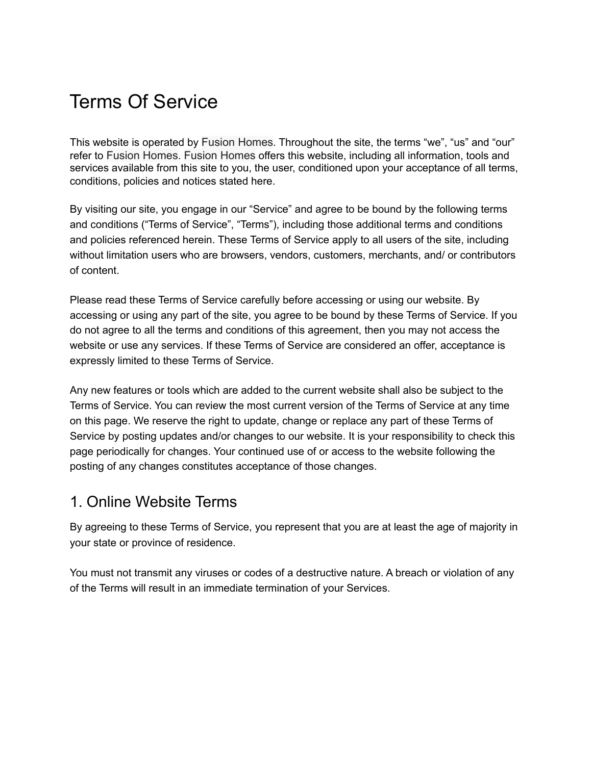# Terms Of Service

This website is operated by Fusion Homes. Throughout the site, the terms "we", "us" and "our" refer to Fusion Homes. Fusion Homes offers this website, including all information, tools and services available from this site to you, the user, conditioned upon your acceptance of all terms, conditions, policies and notices stated here.

By visiting our site, you engage in our "Service" and agree to be bound by the following terms and conditions ("Terms of Service", "Terms"), including those additional terms and conditions and policies referenced herein. These Terms of Service apply to all users of the site, including without limitation users who are browsers, vendors, customers, merchants, and/ or contributors of content.

Please read these Terms of Service carefully before accessing or using our website. By accessing or using any part of the site, you agree to be bound by these Terms of Service. If you do not agree to all the terms and conditions of this agreement, then you may not access the website or use any services. If these Terms of Service are considered an offer, acceptance is expressly limited to these Terms of Service.

Any new features or tools which are added to the current website shall also be subject to the Terms of Service. You can review the most current version of the Terms of Service at any time on this page. We reserve the right to update, change or replace any part of these Terms of Service by posting updates and/or changes to our website. It is your responsibility to check this page periodically for changes. Your continued use of or access to the website following the posting of any changes constitutes acceptance of those changes.

#### 1. Online Website Terms

By agreeing to these Terms of Service, you represent that you are at least the age of majority in your state or province of residence.

You must not transmit any viruses or codes of a destructive nature. A breach or violation of any of the Terms will result in an immediate termination of your Services.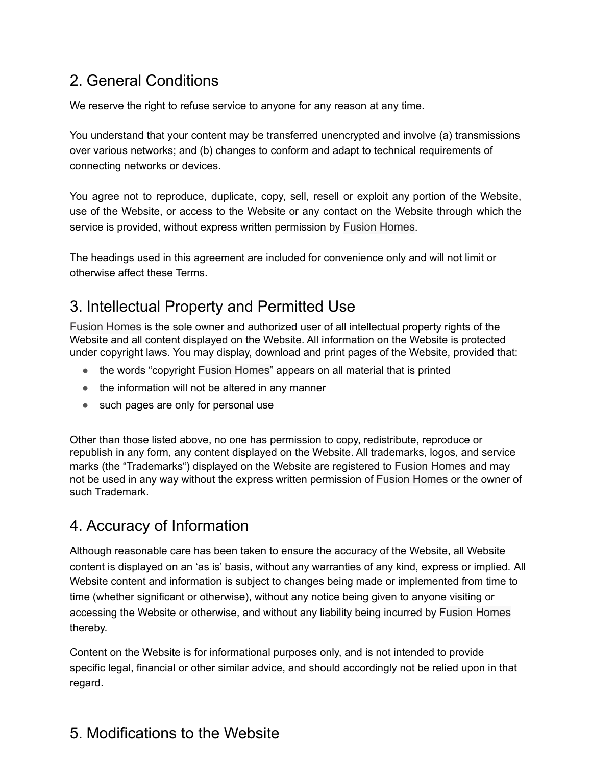# 2. General Conditions

We reserve the right to refuse service to anyone for any reason at any time.

You understand that your content may be transferred unencrypted and involve (a) transmissions over various networks; and (b) changes to conform and adapt to technical requirements of connecting networks or devices.

You agree not to reproduce, duplicate, copy, sell, resell or exploit any portion of the Website, use of the Website, or access to the Website or any contact on the Website through which the service is provided, without express written permission by Fusion Homes.

The headings used in this agreement are included for convenience only and will not limit or otherwise affect these Terms.

# 3. Intellectual Property and Permitted Use

Fusion Homes is the sole owner and authorized user of all intellectual property rights of the Website and all content displayed on the Website. All information on the Website is protected under copyright laws. You may display, download and print pages of the Website, provided that:

- the words "copyright Fusion Homes" appears on all material that is printed
- the information will not be altered in any manner
- such pages are only for personal use

Other than those listed above, no one has permission to copy, redistribute, reproduce or republish in any form, any content displayed on the Website. All trademarks, logos, and service marks (the "Trademarks") displayed on the Website are registered to Fusion Homes and may not be used in any way without the express written permission of Fusion Homes or the owner of such Trademark.

#### 4. Accuracy of Information

Although reasonable care has been taken to ensure the accuracy of the Website, all Website content is displayed on an 'as is' basis, without any warranties of any kind, express or implied. All Website content and information is subject to changes being made or implemented from time to time (whether significant or otherwise), without any notice being given to anyone visiting or accessing the Website or otherwise, and without any liability being incurred by Fusion Homes thereby.

Content on the Website is for informational purposes only, and is not intended to provide specific legal, financial or other similar advice, and should accordingly not be relied upon in that regard.

# 5. Modifications to the Website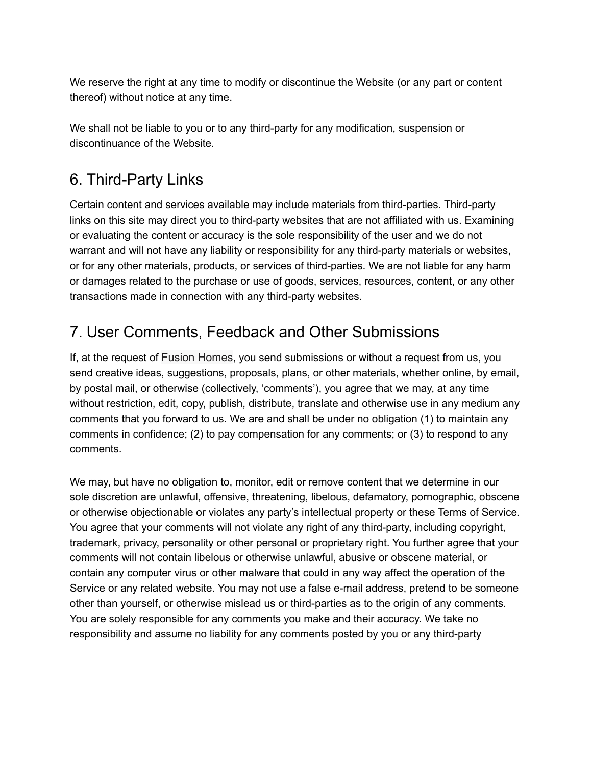We reserve the right at any time to modify or discontinue the Website (or any part or content thereof) without notice at any time.

We shall not be liable to you or to any third-party for any modification, suspension or discontinuance of the Website.

# 6. Third-Party Links

Certain content and services available may include materials from third-parties. Third-party links on this site may direct you to third-party websites that are not affiliated with us. Examining or evaluating the content or accuracy is the sole responsibility of the user and we do not warrant and will not have any liability or responsibility for any third-party materials or websites, or for any other materials, products, or services of third-parties. We are not liable for any harm or damages related to the purchase or use of goods, services, resources, content, or any other transactions made in connection with any third-party websites.

# 7. User Comments, Feedback and Other Submissions

If, at the request of Fusion Homes, you send submissions or without a request from us, you send creative ideas, suggestions, proposals, plans, or other materials, whether online, by email, by postal mail, or otherwise (collectively, 'comments'), you agree that we may, at any time without restriction, edit, copy, publish, distribute, translate and otherwise use in any medium any comments that you forward to us. We are and shall be under no obligation (1) to maintain any comments in confidence; (2) to pay compensation for any comments; or (3) to respond to any comments.

We may, but have no obligation to, monitor, edit or remove content that we determine in our sole discretion are unlawful, offensive, threatening, libelous, defamatory, pornographic, obscene or otherwise objectionable or violates any party's intellectual property or these Terms of Service. You agree that your comments will not violate any right of any third-party, including copyright, trademark, privacy, personality or other personal or proprietary right. You further agree that your comments will not contain libelous or otherwise unlawful, abusive or obscene material, or contain any computer virus or other malware that could in any way affect the operation of the Service or any related website. You may not use a false e-mail address, pretend to be someone other than yourself, or otherwise mislead us or third-parties as to the origin of any comments. You are solely responsible for any comments you make and their accuracy. We take no responsibility and assume no liability for any comments posted by you or any third-party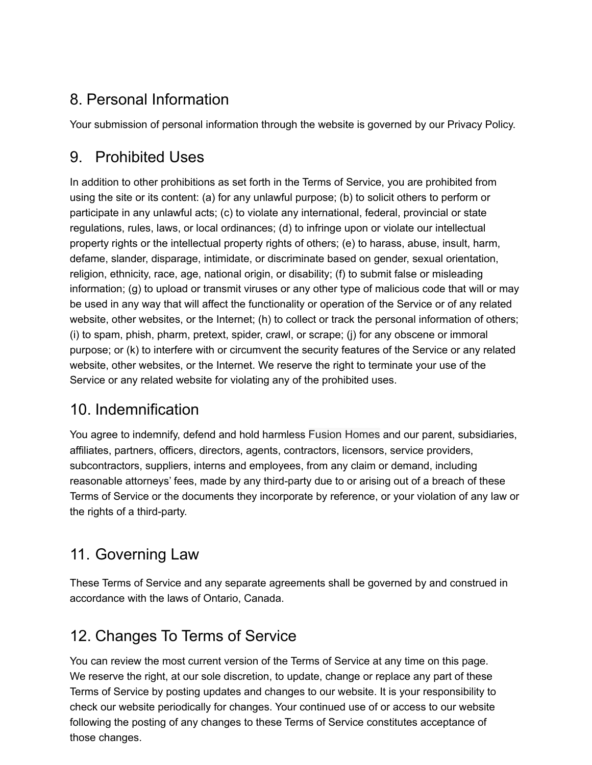# 8. Personal Information

Your submission of personal information through the website is governed by our Privacy Policy.

# 9. Prohibited Uses

In addition to other prohibitions as set forth in the Terms of Service, you are prohibited from using the site or its content: (a) for any unlawful purpose; (b) to solicit others to perform or participate in any unlawful acts; (c) to violate any international, federal, provincial or state regulations, rules, laws, or local ordinances; (d) to infringe upon or violate our intellectual property rights or the intellectual property rights of others; (e) to harass, abuse, insult, harm, defame, slander, disparage, intimidate, or discriminate based on gender, sexual orientation, religion, ethnicity, race, age, national origin, or disability; (f) to submit false or misleading information; (g) to upload or transmit viruses or any other type of malicious code that will or may be used in any way that will affect the functionality or operation of the Service or of any related website, other websites, or the Internet; (h) to collect or track the personal information of others; (i) to spam, phish, pharm, pretext, spider, crawl, or scrape; (j) for any obscene or immoral purpose; or (k) to interfere with or circumvent the security features of the Service or any related website, other websites, or the Internet. We reserve the right to terminate your use of the Service or any related website for violating any of the prohibited uses.

#### 10. Indemnification

You agree to indemnify, defend and hold harmless Fusion Homes and our parent, subsidiaries, affiliates, partners, officers, directors, agents, contractors, licensors, service providers, subcontractors, suppliers, interns and employees, from any claim or demand, including reasonable attorneys' fees, made by any third-party due to or arising out of a breach of these Terms of Service or the documents they incorporate by reference, or your violation of any law or the rights of a third-party.

# 11. Governing Law

These Terms of Service and any separate agreements shall be governed by and construed in accordance with the laws of Ontario, Canada.

# 12. Changes To Terms of Service

You can review the most current version of the Terms of Service at any time on this page. We reserve the right, at our sole discretion, to update, change or replace any part of these Terms of Service by posting updates and changes to our website. It is your responsibility to check our website periodically for changes. Your continued use of or access to our website following the posting of any changes to these Terms of Service constitutes acceptance of those changes.